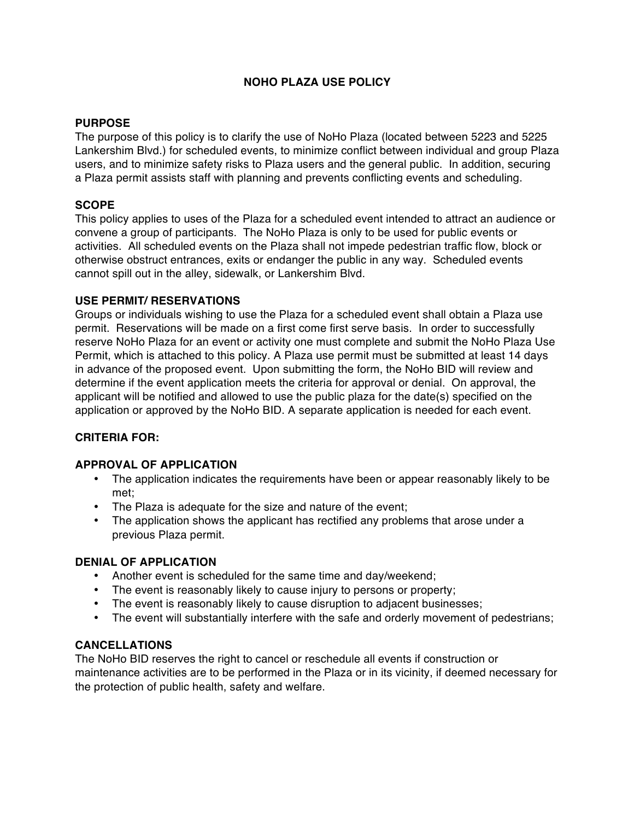# **NOHO PLAZA USE POLICY**

## **PURPOSE**

The purpose of this policy is to clarify the use of NoHo Plaza (located between 5223 and 5225 Lankershim Blvd.) for scheduled events, to minimize conflict between individual and group Plaza users, and to minimize safety risks to Plaza users and the general public. In addition, securing a Plaza permit assists staff with planning and prevents conflicting events and scheduling.

## **SCOPE**

This policy applies to uses of the Plaza for a scheduled event intended to attract an audience or convene a group of participants. The NoHo Plaza is only to be used for public events or activities. All scheduled events on the Plaza shall not impede pedestrian traffic flow, block or otherwise obstruct entrances, exits or endanger the public in any way. Scheduled events cannot spill out in the alley, sidewalk, or Lankershim Blvd.

#### **USE PERMIT/ RESERVATIONS**

Groups or individuals wishing to use the Plaza for a scheduled event shall obtain a Plaza use permit. Reservations will be made on a first come first serve basis. In order to successfully reserve NoHo Plaza for an event or activity one must complete and submit the NoHo Plaza Use Permit, which is attached to this policy. A Plaza use permit must be submitted at least 14 days in advance of the proposed event. Upon submitting the form, the NoHo BID will review and determine if the event application meets the criteria for approval or denial. On approval, the applicant will be notified and allowed to use the public plaza for the date(s) specified on the application or approved by the NoHo BID. A separate application is needed for each event.

## **CRITERIA FOR:**

#### **APPROVAL OF APPLICATION**

- The application indicates the requirements have been or appear reasonably likely to be met;
- The Plaza is adequate for the size and nature of the event;
- The application shows the applicant has rectified any problems that arose under a previous Plaza permit.

#### **DENIAL OF APPLICATION**

- Another event is scheduled for the same time and day/weekend;
- The event is reasonably likely to cause injury to persons or property;
- The event is reasonably likely to cause disruption to adjacent businesses;
- The event will substantially interfere with the safe and orderly movement of pedestrians;

#### **CANCELLATIONS**

The NoHo BID reserves the right to cancel or reschedule all events if construction or maintenance activities are to be performed in the Plaza or in its vicinity, if deemed necessary for the protection of public health, safety and welfare.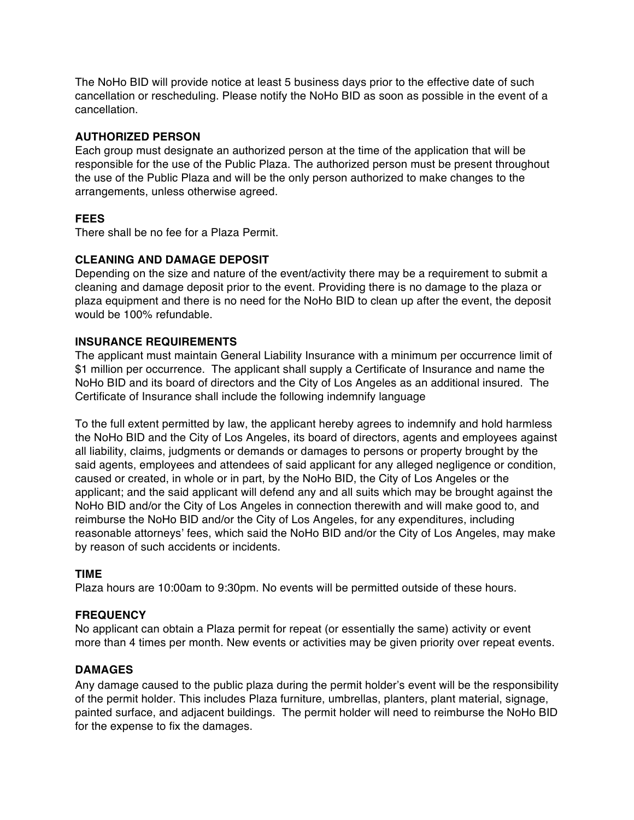The NoHo BID will provide notice at least 5 business days prior to the effective date of such cancellation or rescheduling. Please notify the NoHo BID as soon as possible in the event of a cancellation.

## **AUTHORIZED PERSON**

Each group must designate an authorized person at the time of the application that will be responsible for the use of the Public Plaza. The authorized person must be present throughout the use of the Public Plaza and will be the only person authorized to make changes to the arrangements, unless otherwise agreed.

## **FEES**

There shall be no fee for a Plaza Permit.

## **CLEANING AND DAMAGE DEPOSIT**

Depending on the size and nature of the event/activity there may be a requirement to submit a cleaning and damage deposit prior to the event. Providing there is no damage to the plaza or plaza equipment and there is no need for the NoHo BID to clean up after the event, the deposit would be 100% refundable.

## **INSURANCE REQUIREMENTS**

The applicant must maintain General Liability Insurance with a minimum per occurrence limit of \$1 million per occurrence. The applicant shall supply a Certificate of Insurance and name the NoHo BID and its board of directors and the City of Los Angeles as an additional insured. The Certificate of Insurance shall include the following indemnify language

To the full extent permitted by law, the applicant hereby agrees to indemnify and hold harmless the NoHo BID and the City of Los Angeles, its board of directors, agents and employees against all liability, claims, judgments or demands or damages to persons or property brought by the said agents, employees and attendees of said applicant for any alleged negligence or condition, caused or created, in whole or in part, by the NoHo BID, the City of Los Angeles or the applicant; and the said applicant will defend any and all suits which may be brought against the NoHo BID and/or the City of Los Angeles in connection therewith and will make good to, and reimburse the NoHo BID and/or the City of Los Angeles, for any expenditures, including reasonable attorneys' fees, which said the NoHo BID and/or the City of Los Angeles, may make by reason of such accidents or incidents.

#### **TIME**

Plaza hours are 10:00am to 9:30pm. No events will be permitted outside of these hours.

#### **FREQUENCY**

No applicant can obtain a Plaza permit for repeat (or essentially the same) activity or event more than 4 times per month. New events or activities may be given priority over repeat events.

#### **DAMAGES**

Any damage caused to the public plaza during the permit holder's event will be the responsibility of the permit holder. This includes Plaza furniture, umbrellas, planters, plant material, signage, painted surface, and adjacent buildings. The permit holder will need to reimburse the NoHo BID for the expense to fix the damages.